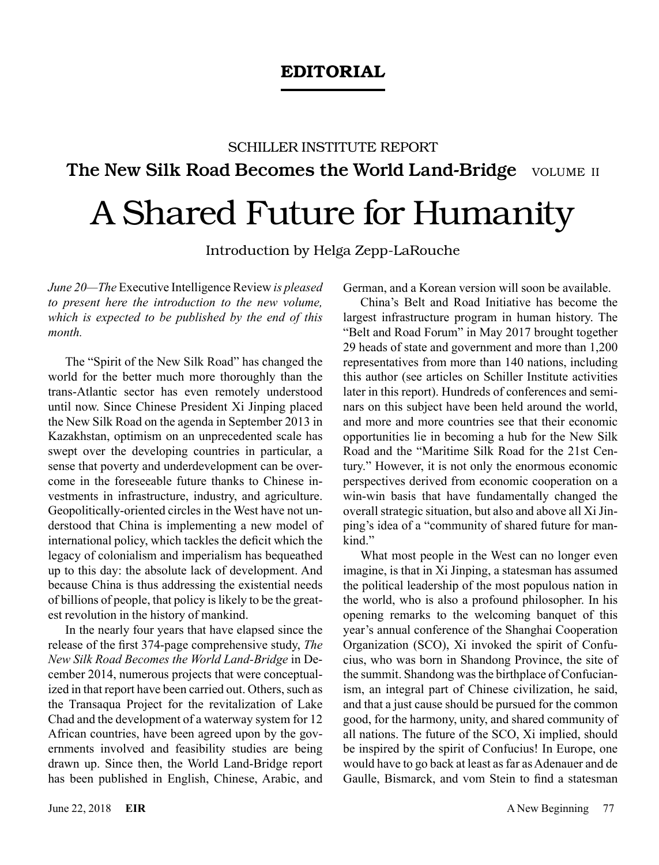## EDITORIAL

## SCHILLER INSTITUTE REPORT The New Silk Road Becomes the World Land-Bridge VOLUME II A Shared Future for Humanity

Introduction by Helga Zepp-LaRouche

*June 20—The* Executive Intelligence Review *is pleased to present here the introduction to the new volume, which is expected to be published by the end of this month.*

The "Spirit of the New Silk Road" has changed the world for the better much more thoroughly than the trans-Atlantic sector has even remotely understood until now. Since Chinese President Xi Jinping placed the New Silk Road on the agenda in September 2013 in Kazakhstan, optimism on an unprecedented scale has swept over the developing countries in particular, a sense that poverty and underdevelopment can be overcome in the foreseeable future thanks to Chinese investments in infrastructure, industry, and agriculture. Geopolitically-oriented circles in the West have not understood that China is implementing a new model of international policy, which tackles the deficit which the legacy of colonialism and imperialism has bequeathed up to this day: the absolute lack of development. And because China is thus addressing the existential needs of billions of people, that policy is likely to be the greatest revolution in the history of mankind.

In the nearly four years that have elapsed since the release of the first 374-page comprehensive study, *The New Silk Road Becomes the World Land-Bridge* in December 2014, numerous projects that were conceptualized in that report have been carried out. Others, such as the Transaqua Project for the revitalization of Lake Chad and the development of a waterway system for 12 African countries, have been agreed upon by the governments involved and feasibility studies are being drawn up. Since then, the World Land-Bridge report has been published in English, Chinese, Arabic, and German, and a Korean version will soon be available.

China's Belt and Road Initiative has become the largest infrastructure program in human history. The "Belt and Road Forum" in May 2017 brought together 29 heads of state and government and more than 1,200 representatives from more than 140 nations, including this author (see articles on Schiller Institute activities later in this report). Hundreds of conferences and seminars on this subject have been held around the world, and more and more countries see that their economic opportunities lie in becoming a hub for the New Silk Road and the "Maritime Silk Road for the 21st Century." However, it is not only the enormous economic perspectives derived from economic cooperation on a win-win basis that have fundamentally changed the overall strategic situation, but also and above all Xi Jinping's idea of a "community of shared future for mankind."

What most people in the West can no longer even imagine, is that in Xi Jinping, a statesman has assumed the political leadership of the most populous nation in the world, who is also a profound philosopher. In his opening remarks to the welcoming banquet of this year's annual conference of the Shanghai Cooperation Organization (SCO), Xi invoked the spirit of Confucius, who was born in Shandong Province, the site of the summit. Shandong was the birthplace of Confucianism, an integral part of Chinese civilization, he said, and that a just cause should be pursued for the common good, for the harmony, unity, and shared community of all nations. The future of the SCO, Xi implied, should be inspired by the spirit of Confucius! In Europe, one would have to go back at least as far as Adenauer and de Gaulle, Bismarck, and vom Stein to find a statesman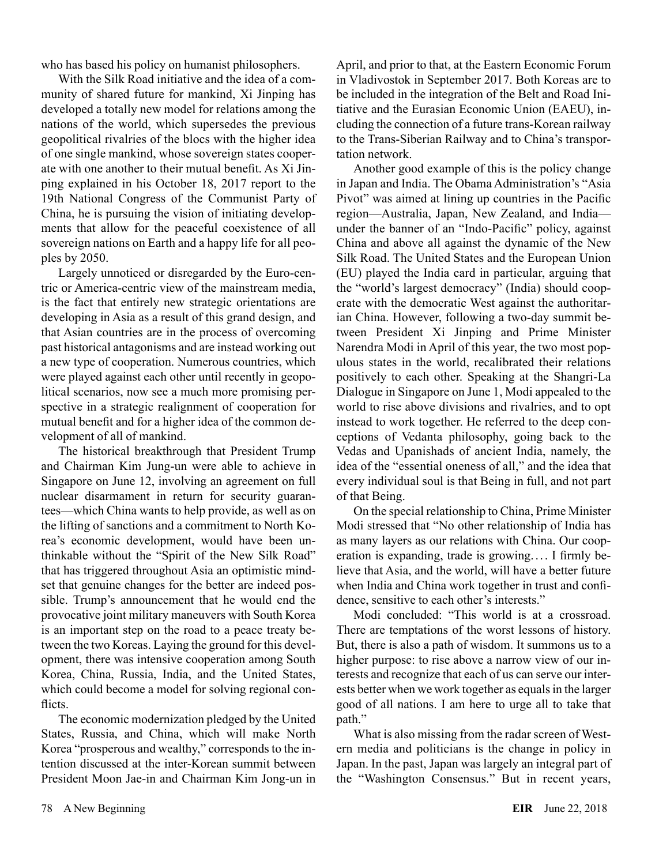who has based his policy on humanist philosophers.

With the Silk Road initiative and the idea of a community of shared future for mankind, Xi Jinping has developed a totally new model for relations among the nations of the world, which supersedes the previous geopolitical rivalries of the blocs with the higher idea of one single mankind, whose sovereign states cooperate with one another to their mutual benefit. As Xi Jinping explained in his October 18, 2017 report to the 19th National Congress of the Communist Party of China, he is pursuing the vision of initiating developments that allow for the peaceful coexistence of all sovereign nations on Earth and a happy life for all peoples by 2050.

Largely unnoticed or disregarded by the Euro-centric or America-centric view of the mainstream media, is the fact that entirely new strategic orientations are developing in Asia as a result of this grand design, and that Asian countries are in the process of overcoming past historical antagonisms and are instead working out a new type of cooperation. Numerous countries, which were played against each other until recently in geopolitical scenarios, now see a much more promising perspective in a strategic realignment of cooperation for mutual benefit and for a higher idea of the common development of all of mankind.

The historical breakthrough that President Trump and Chairman Kim Jung-un were able to achieve in Singapore on June 12, involving an agreement on full nuclear disarmament in return for security guarantees—which China wants to help provide, as well as on the lifting of sanctions and a commitment to North Korea's economic development, would have been unthinkable without the "Spirit of the New Silk Road" that has triggered throughout Asia an optimistic mindset that genuine changes for the better are indeed possible. Trump's announcement that he would end the provocative joint military maneuvers with South Korea is an important step on the road to a peace treaty between the two Koreas. Laying the ground for this development, there was intensive cooperation among South Korea, China, Russia, India, and the United States, which could become a model for solving regional conflicts.

The economic modernization pledged by the United States, Russia, and China, which will make North Korea "prosperous and wealthy," corresponds to the intention discussed at the inter-Korean summit between President Moon Jae-in and Chairman Kim Jong-un in April, and prior to that, at the Eastern Economic Forum in Vladivostok in September 2017. Both Koreas are to be included in the integration of the Belt and Road Initiative and the Eurasian Economic Union (EAEU), including the connection of a future trans-Korean railway to the Trans-Siberian Railway and to China's transportation network.

Another good example of this is the policy change in Japan and India. The Obama Administration's "Asia Pivot" was aimed at lining up countries in the Pacific region—Australia, Japan, New Zealand, and India under the banner of an "Indo-Pacific" policy, against China and above all against the dynamic of the New Silk Road. The United States and the European Union (EU) played the India card in particular, arguing that the "world's largest democracy" (India) should cooperate with the democratic West against the authoritarian China. However, following a two-day summit between President Xi Jinping and Prime Minister Narendra Modi in April of this year, the two most populous states in the world, recalibrated their relations positively to each other. Speaking at the Shangri-La Dialogue in Singapore on June 1, Modi appealed to the world to rise above divisions and rivalries, and to opt instead to work together. He referred to the deep conceptions of Vedanta philosophy, going back to the Vedas and Upanishads of ancient India, namely, the idea of the "essential oneness of all," and the idea that every individual soul is that Being in full, and not part of that Being.

On the special relationship to China, Prime Minister Modi stressed that "No other relationship of India has as many layers as our relations with China. Our cooperation is expanding, trade is growing. ... I firmly believe that Asia, and the world, will have a better future when India and China work together in trust and confidence, sensitive to each other's interests."

Modi concluded: "This world is at a crossroad. There are temptations of the worst lessons of history. But, there is also a path of wisdom. It summons us to a higher purpose: to rise above a narrow view of our interests and recognize that each of us can serve our interests better when we work together as equals in the larger good of all nations. I am here to urge all to take that path."

What is also missing from the radar screen of Western media and politicians is the change in policy in Japan. In the past, Japan was largely an integral part of the "Washington Consensus." But in recent years,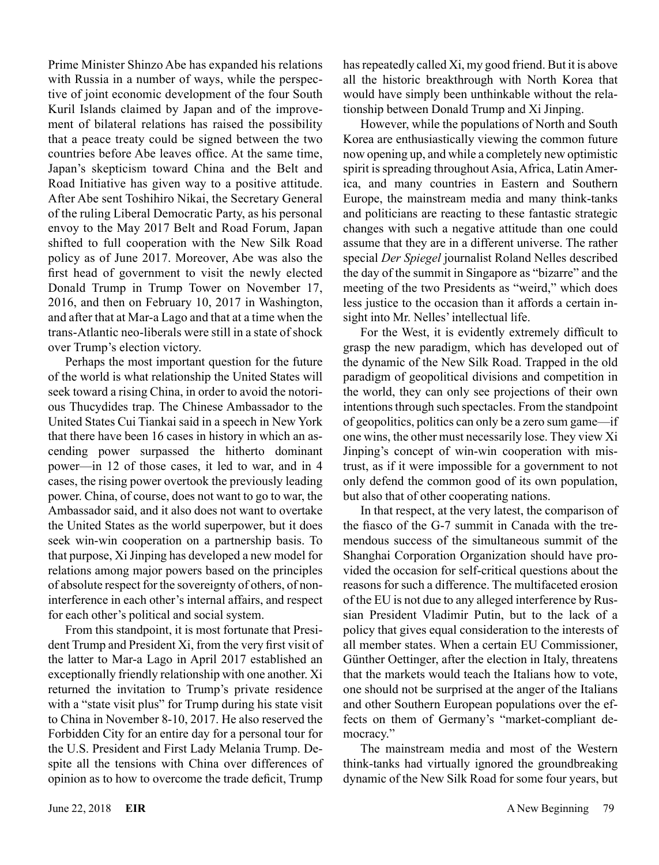Prime Minister Shinzo Abe has expanded his relations with Russia in a number of ways, while the perspective of joint economic development of the four South Kuril Islands claimed by Japan and of the improvement of bilateral relations has raised the possibility that a peace treaty could be signed between the two countries before Abe leaves office. At the same time, Japan's skepticism toward China and the Belt and Road Initiative has given way to a positive attitude. After Abe sent Toshihiro Nikai, the Secretary General of the ruling Liberal Democratic Party, as his personal envoy to the May 2017 Belt and Road Forum, Japan shifted to full cooperation with the New Silk Road policy as of June 2017. Moreover, Abe was also the first head of government to visit the newly elected Donald Trump in Trump Tower on November 17, 2016, and then on February 10, 2017 in Washington, and after that at Mar-a Lago and that at a time when the trans-Atlantic neo-liberals were still in a state of shock over Trump's election victory.

Perhaps the most important question for the future of the world is what relationship the United States will seek toward a rising China, in order to avoid the notorious Thucydides trap. The Chinese Ambassador to the United States Cui Tiankai said in a speech in New York that there have been 16 cases in history in which an ascending power surpassed the hitherto dominant power—in 12 of those cases, it led to war, and in 4 cases, the rising power overtook the previously leading power. China, of course, does not want to go to war, the Ambassador said, and it also does not want to overtake the United States as the world superpower, but it does seek win-win cooperation on a partnership basis. To that purpose, Xi Jinping has developed a new model for relations among major powers based on the principles of absolute respect for the sovereignty of others, of noninterference in each other's internal affairs, and respect for each other's political and social system.

From this standpoint, it is most fortunate that President Trump and President Xi, from the very first visit of the latter to Mar-a Lago in April 2017 established an exceptionally friendly relationship with one another. Xi returned the invitation to Trump's private residence with a "state visit plus" for Trump during his state visit to China in November 8-10, 2017. He also reserved the Forbidden City for an entire day for a personal tour for the U.S. President and First Lady Melania Trump. Despite all the tensions with China over differences of opinion as to how to overcome the trade deficit, Trump has repeatedly called Xi, my good friend. But it is above all the historic breakthrough with North Korea that would have simply been unthinkable without the relationship between Donald Trump and Xi Jinping.

However, while the populations of North and South Korea are enthusiastically viewing the common future now opening up, and while a completely new optimistic spirit is spreading throughout Asia, Africa, Latin America, and many countries in Eastern and Southern Europe, the mainstream media and many think-tanks and politicians are reacting to these fantastic strategic changes with such a negative attitude than one could assume that they are in a different universe. The rather special *Der Spiegel* journalist Roland Nelles described the day of the summit in Singapore as "bizarre" and the meeting of the two Presidents as "weird," which does less justice to the occasion than it affords a certain insight into Mr. Nelles' intellectual life.

For the West, it is evidently extremely difficult to grasp the new paradigm, which has developed out of the dynamic of the New Silk Road. Trapped in the old paradigm of geopolitical divisions and competition in the world, they can only see projections of their own intentions through such spectacles. From the standpoint of geopolitics, politics can only be a zero sum game—if one wins, the other must necessarily lose. They view Xi Jinping's concept of win-win cooperation with mistrust, as if it were impossible for a government to not only defend the common good of its own population, but also that of other cooperating nations.

In that respect, at the very latest, the comparison of the fiasco of the G-7 summit in Canada with the tremendous success of the simultaneous summit of the Shanghai Corporation Organization should have provided the occasion for self-critical questions about the reasons for such a difference. The multifaceted erosion of the EU is not due to any alleged interference by Russian President Vladimir Putin, but to the lack of a policy that gives equal consideration to the interests of all member states. When a certain EU Commissioner, Günther Oettinger, after the election in Italy, threatens that the markets would teach the Italians how to vote, one should not be surprised at the anger of the Italians and other Southern European populations over the effects on them of Germany's "market-compliant democracy."

The mainstream media and most of the Western think-tanks had virtually ignored the groundbreaking dynamic of the New Silk Road for some four years, but